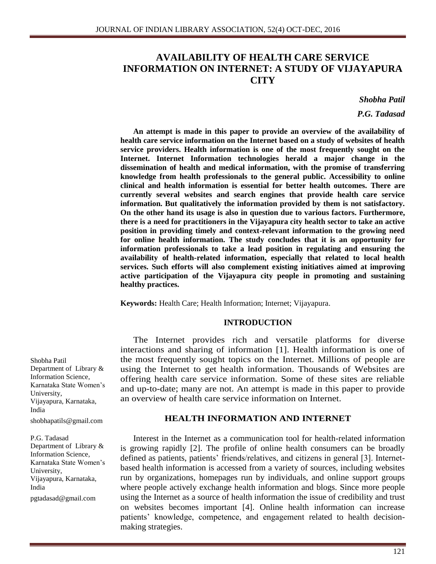# **AVAILABILITY OF HEALTH CARE SERVICE INFORMATION ON INTERNET: A STUDY OF VIJAYAPURA CITY**

*Shobha Patil*

*P.G. Tadasad*

**An attempt is made in this paper to provide an overview of the availability of health care service information on the Internet based on a study of websites of health service providers. Health information is one of the most frequently sought on the Internet. Internet Information technologies herald a major change in the dissemination of health and medical information, with the promise of transferring knowledge from health professionals to the general public. Accessibility to online clinical and health information is essential for better health outcomes. There are currently several websites and search engines that provide health care service information. But qualitatively the information provided by them is not satisfactory. On the other hand its usage is also in question due to various factors. Furthermore, there is a need for practitioners in the Vijayapura city health sector to take an active position in providing timely and context-relevant information to the growing need for online health information. The study concludes that it is an opportunity for information professionals to take a lead position in regulating and ensuring the availability of health-related information, especially that related to local health services. Such efforts will also complement existing initiatives aimed at improving active participation of the Vijayapura city people in promoting and sustaining healthy practices.**

**Keywords:** Health Care; Health Information; Internet; Vijayapura.

### **INTRODUCTION**

The Internet provides rich and versatile platforms for diverse interactions and sharing of information [1]. Health information is one of the most frequently sought topics on the Internet. Millions of people are using the Internet to get health information. Thousands of Websites are offering health care service information. Some of these sites are reliable and up-to-date; many are not. An attempt is made in this paper to provide an overview of health care service information on Internet.

### **HEALTH INFORMATION AND INTERNET**

Interest in the Internet as a communication tool for health-related information is growing rapidly [2]. The profile of online health consumers can be broadly defined as patients, patients' friends/relatives, and citizens in general [3]. Internetbased health information is accessed from a variety of sources, including websites run by organizations, homepages run by individuals, and online support groups where people actively exchange health information and blogs. Since more people using the Internet as a source of health information the issue of credibility and trust on websites becomes important [4]. Online health information can increase patients' knowledge, competence, and engagement related to health decisionmaking strategies.

Shobha Patil Department of Library & Information Science, Karnataka State Women's University, Vijayapura, Karnataka, India [shobhapatils@gmail.com](mailto:shobhapatils@gmail.com)

#### P.G. Tadasad

Department of Library & Information Science, Karnataka State Women's University, Vijayapura, Karnataka, India pgtadasad@gmail.com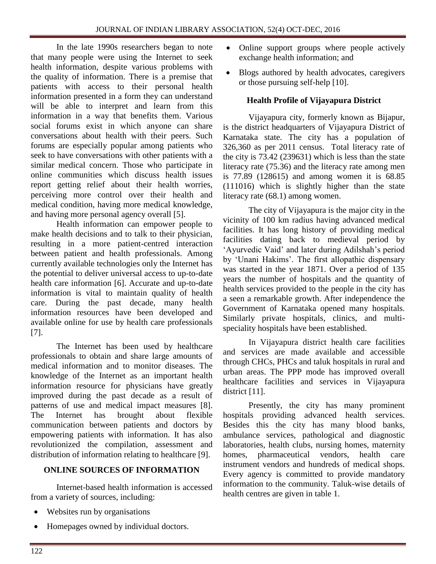In the late 1990s researchers began to note that many people were using the Internet to seek health information, despite various problems with the quality of information. There is a premise that patients with access to their personal health information presented in a form they can understand will be able to interpret and learn from this information in a way that benefits them. Various social forums exist in which anyone can share conversations about health with their peers. Such forums are especially popular among patients who seek to have conversations with other patients with a similar medical concern. Those who participate in online communities which discuss health issues report getting relief about their health worries, perceiving more control over their health and medical condition, having more medical knowledge, and having more personal agency overall [5].

Health information can empower people to make health decisions and to talk to their physician, resulting in a more patient-centred interaction between patient and health professionals. Among currently available technologies only the Internet has the potential to deliver universal access to up-to-date health care information [6]. Accurate and up-to-date information is vital to maintain quality of health care. During the past decade, many health information resources have been developed and available online for use by health care professionals [7].

The Internet has been used by healthcare professionals to obtain and share large amounts of medical information and to monitor diseases. The knowledge of the Internet as an important health information resource for physicians have greatly improved during the past decade as a result of patterns of use and medical impact measures [8]. The Internet has brought about flexible communication between patients and doctors by empowering patients with information. It has also revolutionized the compilation, assessment and distribution of information relating to healthcare [9].

# **ONLINE SOURCES OF INFORMATION**

Internet-based health information is accessed from a variety of sources, including:

- Websites run by organisations
- Homepages owned by individual doctors.
- Online support groups where people actively exchange health information; and
- Blogs authored by health advocates, caregivers or those pursuing self-help [10].

# **Health Profile of Vijayapura District**

Vijayapura city, formerly known as Bijapur, is the district headquarters of Vijayapura District of Karnataka state. The city has a population of 326,360 as per 2011 census. Total literacy rate of the city is 73.42 (239631) which is less than the state literacy rate (75.36) and the literacy rate among men is 77.89 (128615) and among women it is 68.85 (111016) which is slightly higher than the state literacy rate (68.1) among women.

The city of Vijayapura is the major city in the vicinity of 100 km radius having advanced medical facilities. It has long history of providing medical facilities dating back to medieval period by 'Ayurvedic Vaid' and later during Adilshah's period by 'Unani Hakims'. The first allopathic dispensary was started in the year 1871. Over a period of 135 years the number of hospitals and the quantity of health services provided to the people in the city has a seen a remarkable growth. After independence the Government of Karnataka opened many hospitals. Similarly private hospitals, clinics, and multispeciality hospitals have been established.

In Vijayapura district health care facilities and services are made available and accessible through CHCs, PHCs and taluk hospitals in rural and urban areas. The PPP mode has improved overall healthcare facilities and services in Vijayapura district [11].

Presently, the city has many prominent hospitals providing advanced health services. Besides this the city has many blood banks, ambulance services, pathological and diagnostic laboratories, health clubs, nursing homes, maternity homes, pharmaceutical vendors, health care instrument vendors and hundreds of medical shops. Every agency is committed to provide mandatory information to the community. Taluk-wise details of health centres are given in table 1.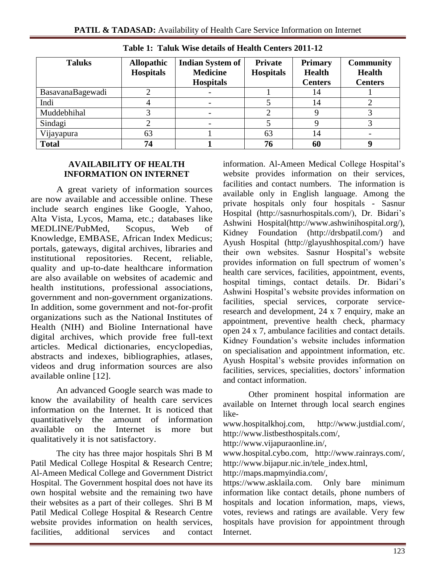| <b>Taluks</b>    | <b>Allopathic</b><br><b>Hospitals</b> | <b>Indian System of</b><br><b>Medicine</b><br><b>Hospitals</b> | <b>Private</b><br><b>Hospitals</b> | <b>Primary</b><br><b>Health</b><br><b>Centers</b> | <b>Community</b><br><b>Health</b><br><b>Centers</b> |
|------------------|---------------------------------------|----------------------------------------------------------------|------------------------------------|---------------------------------------------------|-----------------------------------------------------|
| BasavanaBagewadi |                                       |                                                                |                                    | 14                                                |                                                     |
| Indi             |                                       |                                                                |                                    | 14                                                |                                                     |
| Muddebhihal      |                                       |                                                                |                                    |                                                   |                                                     |
| Sindagi          |                                       |                                                                |                                    |                                                   |                                                     |
| Vijayapura       | 63                                    |                                                                | 63                                 | 14                                                |                                                     |
| <b>Total</b>     | 74                                    |                                                                | 76                                 | 60                                                |                                                     |

**Table 1: Taluk Wise details of Health Centers 2011-12**

## **AVAILABILITY OF HEALTH INFORMATION ON INTERNET**

A great variety of information sources are now available and accessible online. These include search engines like Google, Yahoo, Alta Vista, Lycos, Mama, etc.; databases like MEDLINE/PubMed, Scopus, Web of Knowledge, EMBASE, African Index Medicus; portals, gateways, digital archives, libraries and institutional repositories. Recent, reliable, quality and up-to-date healthcare information are also available on websites of academic and health institutions, professional associations, government and non-government organizations. In addition, some government and not-for-profit organizations such as the National Institutes of Health (NIH) and Bioline International have digital archives, which provide free full-text articles. Medical dictionaries, encyclopedias, abstracts and indexes, bibliographies, atlases, videos and drug information sources are also available online [12].

An advanced Google search was made to know the availability of health care services information on the Internet. It is noticed that quantitatively the amount of information available on the Internet is more but qualitatively it is not satisfactory.

The city has three major hospitals Shri B M Patil Medical College Hospital & Research Centre; Al-Ameen Medical College and Government District Hospital. The Government hospital does not have its own hospital website and the remaining two have their websites as a part of their colleges. Shri B M Patil Medical College Hospital & Research Centre website provides information on health services, facilities, additional services and contact information. Al-Ameen Medical College Hospital's website provides information on their services, facilities and contact numbers. The information is available only in English language. Among the private hospitals only four hospitals - Sasnur Hospital [\(http://sasnurhospitals.com/\)](http://sasnurhospitals.com/), Dr. Bidari's Ashwini Hospital(http://www.ashwinihospital.org/), Kidney Foundation (http://drsbpatil.com/) and Ayush Hospital (http://glayushhospital.com/) have their own websites. Sasnur Hospital's website provides information on full spectrum of women's health care services, facilities, appointment, events, hospital timings, contact details. Dr. Bidari's Ashwini Hospital's website provides information on facilities, special services, corporate serviceresearch and development, 24 x 7 enquiry, make an appointment, preventive health check, pharmacy open 24 x 7, ambulance facilities and contact details. Kidney Foundation's website includes information on specialisation and appointment information, etc. Ayush Hospital's website provides information on facilities, services, specialities, doctors' information and contact information.

Other prominent hospital information are available on Internet through local search engines like-

www.hospitalkhoj.com, http://www.justdial.com/, http://www.listbesthospitals.com/,

http://www.vijapuraonline.in/,

www.hospital.cybo.com, http://www.rainrays.com/, http://www.bijapur.nic.in/tele\_index.html,

http://maps.mapmyindia.com/,

https://www.asklaila.com. Only bare minimum information like contact details, phone numbers of hospitals and location information, maps, views, votes, reviews and ratings are available. Very few hospitals have provision for appointment through Internet.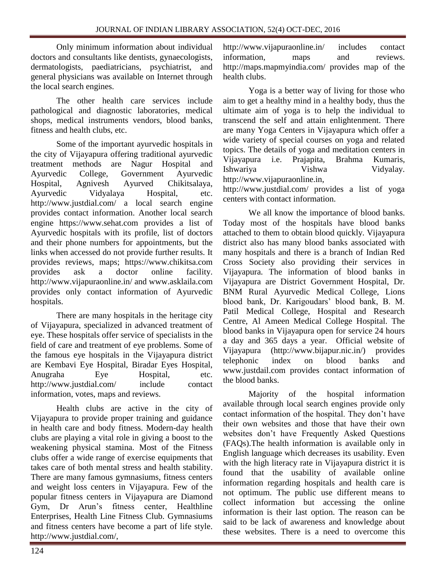Only minimum information about individual doctors and consultants like dentists, gynaecologists, dermatologists, paediatricians, psychiatrist, and general physicians was available on Internet through the local search engines.

The other health care services include pathological and diagnostic laboratories, medical shops, medical instruments vendors, blood banks, fitness and health clubs, etc.

Some of the important ayurvedic hospitals in the city of Vijayapura offering traditional ayurvedic treatment methods are Nagur Hospital and Ayurvedic College, Government Ayurvedic Hospital, Agnivesh Ayurved Chikitsalaya, Ayurvedic Vidyalaya Hospital, etc. http://www.justdial.com/ a local search engine provides contact information. Another local search engine https://www.sehat.com provides a list of Ayurvedic hospitals with its profile, list of doctors and their phone numbers for appointments, but the links when accessed do not provide further results. It provides reviews, maps; https://www.chikitsa.com provides ask a doctor online facility. http://www.vijapuraonline.in/ and www.asklaila.com provides only contact information of Ayurvedic hospitals.

There are many hospitals in the heritage city of Vijayapura, specialized in advanced treatment of eye. These hospitals offer service of specialists in the field of care and treatment of eye problems. Some of the famous eye hospitals in the Vijayapura district are Kembavi Eye Hospital, Biradar Eyes Hospital, Anugraha Eye Hospital, etc. http://www.justdial.com/ include contact information, votes, maps and reviews.

Health clubs are active in the city of Vijayapura to provide proper training and guidance in health care and body fitness. Modern-day health clubs are playing a vital role in giving a boost to the weakening physical stamina. Most of the Fitness clubs offer a wide range of exercise equipments that takes care of both mental stress and health stability. There are many famous gymnasiums, fitness centers and weight loss centers in Vijayapura. Few of the popular fitness centers in Vijayapura are Diamond Gym, Dr Arun's fitness center, Healthline Enterprises, Health Line Fitness Club. Gymnasiums and fitness centers have become a part of life style. http://www.justdial.com/,

http://www.vijapuraonline.in/ includes contact information, maps and reviews. http://maps.mapmyindia.com/ provides map of the health clubs.

Yoga is a better way of living for those who aim to get a healthy mind in a healthy body, thus the ultimate aim of yoga is to help the individual to transcend the self and attain enlightenment. There are many Yoga Centers in Vijayapura which offer a wide variety of special courses on yoga and related topics. The details of yoga and meditation centers in Vijayapura i.e. Prajapita, Brahma Kumaris, Ishwariya Vishwa Vidyalay. http://www.vijapuraonline.in,

http://www.justdial.com/ provides a list of yoga centers with contact information.

We all know the importance of blood banks. Today most of the hospitals have blood banks attached to them to obtain blood quickly. Vijayapura district also has many blood banks associated with many hospitals and there is a branch of Indian Red Cross Society also providing their services in Vijayapura. The information of blood banks in Vijayapura are District Government Hospital, Dr. BNM Rural Ayurvedic Medical College, Lions blood bank, Dr. Karigoudars' blood bank, B. M. Patil Medical College, Hospital and Research Centre, Al Ameen Medical College Hospital. The blood banks in Vijayapura open for service 24 hours a day and 365 days a year. Official website of Vijayapura (http://www.bijapur.nic.in/) provides telephonic index on blood banks and www.justdail.com provides contact information of the blood banks.

Majority of the hospital information available through local search engines provide only contact information of the hospital. They don't have their own websites and those that have their own websites don't have Frequently Asked Questions (FAQs).The health information is available only in English language which decreases its usability. Even with the high literacy rate in Vijayapura district it is found that the usability of available online information regarding hospitals and health care is not optimum. The public use different means to collect information but accessing the online information is their last option. The reason can be said to be lack of awareness and knowledge about these websites. There is a need to overcome this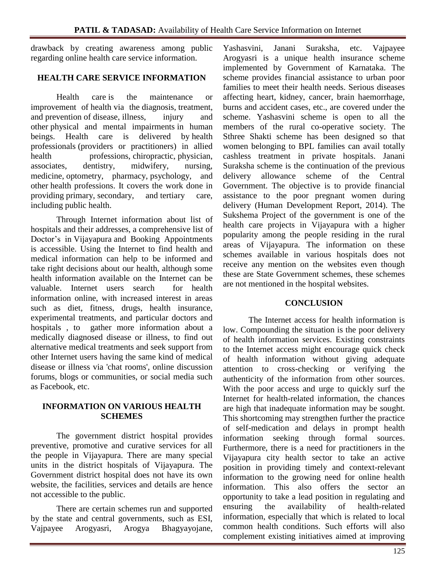drawback by creating awareness among public regarding online health care service information.

# **HEALTH CARE SERVICE INFORMATION**

Health care is the maintenance or improvement of health via the diagnosis, treatment, and prevention of disease, illness, injury and other physical and mental impairments in human beings. Health care is delivered by health professionals (providers or practitioners) in allied health professions, chiropractic, physician, associates, dentistry, midwifery, nursing, medicine, optometry, pharmacy, psychology, and other health professions. It covers the work done in providing primary, secondary, and tertiary care, including public health.

Through Internet information about list of hospitals and their addresses, a comprehensive list of Doctor's in Vijayapura and Booking Appointments is accessible. Using the Internet to find health and medical information can help to be informed and take right decisions about our health, although some health information available on the Internet can be valuable. Internet users search for health information online, with increased interest in areas such as diet, fitness, drugs, health insurance, experimental treatments, and particular doctors and hospitals , to gather more information about a medically diagnosed disease or illness, to find out alternative medical treatments and seek support from other Internet users having the same kind of medical disease or illness via 'chat rooms', online discussion forums, blogs or communities, or social media such as Facebook, etc.

# **INFORMATION ON VARIOUS HEALTH SCHEMES**

The government district hospital provides preventive, promotive and curative services for all the people in Vijayapura. There are many special units in the district hospitals of Vijayapura. The Government district hospital does not have its own website, the facilities, services and details are hence not accessible to the public.

There are certain schemes run and supported by the state and central governments, such as ESI, Vajpayee Arogyasri, Arogya Bhagyayojane,

Yashasvini, Janani Suraksha, etc. Vajpayee Arogyasri is a unique health insurance scheme implemented by Government of Karnataka. The scheme provides financial assistance to urban poor families to meet their health needs. Serious diseases affecting heart, kidney, cancer, brain haemorrhage, burns and accident cases, etc., are covered under the scheme. Yashasvini scheme is open to all the members of the rural co-operative society. The Sthree Shakti scheme has been designed so that women belonging to BPL families can avail totally cashless treatment in private hospitals. Janani Suraksha scheme is the continuation of the previous delivery allowance scheme of the Central Government. The objective is to provide financial assistance to the poor pregnant women during delivery (Human Development Report, 2014). The Sukshema Project of the government is one of the health care projects in Vijayapura with a higher popularity among the people residing in the rural areas of Vijayapura. The information on these schemes available in various hospitals does not receive any mention on the websites even though these are State Government schemes, these schemes are not mentioned in the hospital websites.

# **CONCLUSION**

The Internet access for health information is low. Compounding the situation is the poor delivery of health information services. Existing constraints to the Internet access might encourage quick check of health information without giving adequate attention to cross-checking or verifying the authenticity of the information from other sources. With the poor access and urge to quickly surf the Internet for health-related information, the chances are high that inadequate information may be sought. This shortcoming may strengthen further the practice of self-medication and delays in prompt health information seeking through formal sources. Furthermore, there is a need for practitioners in the Vijayapura city health sector to take an active position in providing timely and context-relevant information to the growing need for online health information. This also offers the sector an opportunity to take a lead position in regulating and ensuring the availability of health-related information, especially that which is related to local common health conditions. Such efforts will also complement existing initiatives aimed at improving